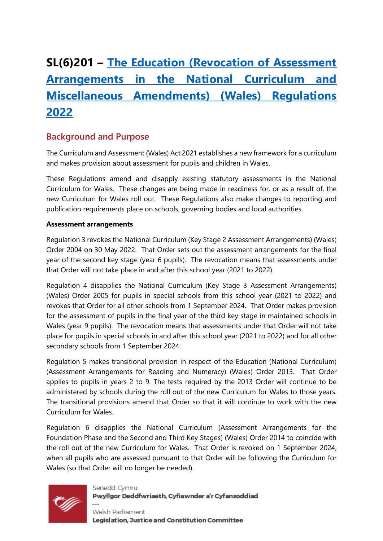# **SL(6)201 – [The Education \(Revocation of Assessment](https://business.senedd.wales/mgIssueHistoryHome.aspx?IId=39307)  [Arrangements in the National Curriculum and](https://business.senedd.wales/mgIssueHistoryHome.aspx?IId=39307)  [Miscellaneous Amendments\) \(Wales\) Regulations](https://business.senedd.wales/mgIssueHistoryHome.aspx?IId=39307)  [2022](https://business.senedd.wales/mgIssueHistoryHome.aspx?IId=39307)**

## **Background and Purpose**

The Curriculum and Assessment (Wales) Act 2021 establishes a new framework for a curriculum and makes provision about assessment for pupils and children in Wales.

These Regulations amend and disapply existing statutory assessments in the National Curriculum for Wales. These changes are being made in readiness for, or as a result of, the new Curriculum for Wales roll out. These Regulations also make changes to reporting and publication requirements place on schools, governing bodies and local authorities.

#### **Assessment arrangements**

Regulation 3 revokes the National Curriculum (Key Stage 2 Assessment Arrangements) (Wales) Order 2004 on 30 May 2022. That Order sets out the assessment arrangements for the final year of the second key stage (year 6 pupils). The revocation means that assessments under that Order will not take place in and after this school year (2021 to 2022).

Regulation 4 disapplies the National Curriculum (Key Stage 3 Assessment Arrangements) (Wales) Order 2005 for pupils in special schools from this school year (2021 to 2022) and revokes that Order for all other schools from 1 September 2024. That Order makes provision for the assessment of pupils in the final year of the third key stage in maintained schools in Wales (year 9 pupils). The revocation means that assessments under that Order will not take place for pupils in special schools in and after this school year (2021 to 2022) and for all other secondary schools from 1 September 2024.

Regulation 5 makes transitional provision in respect of the Education (National Curriculum) (Assessment Arrangements for Reading and Numeracy) (Wales) Order 2013. That Order applies to pupils in years 2 to 9. The tests required by the 2013 Order will continue to be administered by schools during the roll out of the new Curriculum for Wales to those years. The transitional provisions amend that Order so that it will continue to work with the new Curriculum for Wales.

Regulation 6 disapplies the National Curriculum (Assessment Arrangements for the Foundation Phase and the Second and Third Key Stages) (Wales) Order 2014 to coincide with the roll out of the new Curriculum for Wales. That Order is revoked on 1 September 2024, when all pupils who are assessed pursuant to that Order will be following the Curriculum for Wales (so that Order will no longer be needed).



Senedd Cymru Pwyllgor Deddfwriaeth, Cyfiawnder a'r Cyfansoddiad

Welsh Parliament Legislation, Justice and Constitution Committee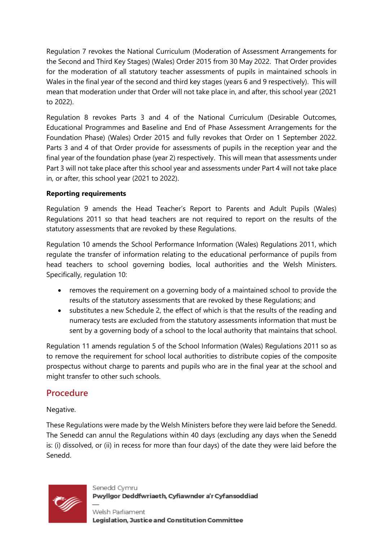Regulation 7 revokes the National Curriculum (Moderation of Assessment Arrangements for the Second and Third Key Stages) (Wales) Order 2015 from 30 May 2022. That Order provides for the moderation of all statutory teacher assessments of pupils in maintained schools in Wales in the final year of the second and third key stages (years 6 and 9 respectively). This will mean that moderation under that Order will not take place in, and after, this school year (2021 to 2022).

Regulation 8 revokes Parts 3 and 4 of the National Curriculum (Desirable Outcomes, Educational Programmes and Baseline and End of Phase Assessment Arrangements for the Foundation Phase) (Wales) Order 2015 and fully revokes that Order on 1 September 2022. Parts 3 and 4 of that Order provide for assessments of pupils in the reception year and the final year of the foundation phase (year 2) respectively. This will mean that assessments under Part 3 will not take place after this school year and assessments under Part 4 will not take place in, or after, this school year (2021 to 2022).

#### **Reporting requirements**

Regulation 9 amends the Head Teacher's Report to Parents and Adult Pupils (Wales) Regulations 2011 so that head teachers are not required to report on the results of the statutory assessments that are revoked by these Regulations.

Regulation 10 amends the School Performance Information (Wales) Regulations 2011, which regulate the transfer of information relating to the educational performance of pupils from head teachers to school governing bodies, local authorities and the Welsh Ministers. Specifically, regulation 10:

- removes the requirement on a governing body of a maintained school to provide the results of the statutory assessments that are revoked by these Regulations; and
- substitutes a new Schedule 2, the effect of which is that the results of the reading and numeracy tests are excluded from the statutory assessments information that must be sent by a governing body of a school to the local authority that maintains that school.

Regulation 11 amends regulation 5 of the School Information (Wales) Regulations 2011 so as to remove the requirement for school local authorities to distribute copies of the composite prospectus without charge to parents and pupils who are in the final year at the school and might transfer to other such schools.

## **Procedure**

#### Negative.

These Regulations were made by the Welsh Ministers before they were laid before the Senedd. The Senedd can annul the Regulations within 40 days (excluding any days when the Senedd is: (i) dissolved, or (ii) in recess for more than four days) of the date they were laid before the Senedd.



Senedd Cymru Pwyllgor Deddfwriaeth, Cyfiawnder a'r Cyfansoddiad

Welsh Parliament Legislation, Justice and Constitution Committee